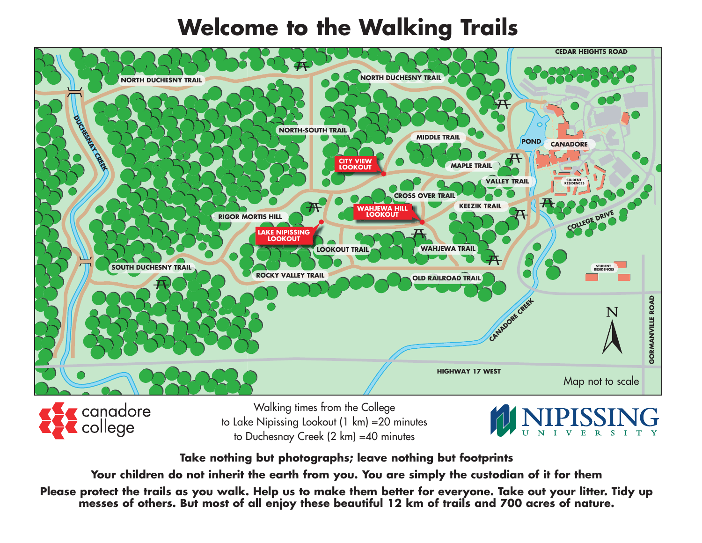## **Welcome to the Walking Trails**



canadore college

Walking times from the College to Lake Nipissing Lookout (1 km) =20 minutes to Duchesnay Creek (2 km) =40 minutes



**Take nothing but photographs; leave nothing but footprints**

**Your children do not inherit the earth from you. You are simply the custodian of it for them**

**Please protect the trails as you walk. Help us to make them better for everyone. Take out your litter. Tidy up messes of others. But most of all enjoy these beautiful 12 km of trails and 700 acres of nature.**